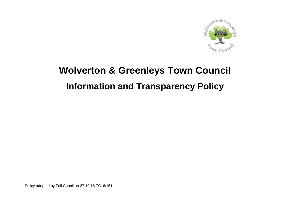

# **Wolverton & Greenleys Town Council Information and Transparency Policy**

Policy adopted by Full Counil on 27.10.16 TC16/151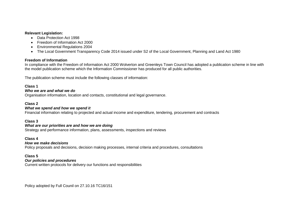### **Relevant Legislation:**

- Data Protection Act 1998
- Freedom of Information Act 2000
- **Environmental Regulations 2004**
- The Local Government Transparency Code 2014 issued under S2 of the Local Government, Planning and Land Act 1980

## **Freedom of Information**

In compliance with the Freedom of Information Act 2000 Wolverton and Greenleys Town Council has adopted a publication scheme in line with the model publication scheme which the Information Commissioner has produced for all public authorities.

The publication scheme must include the following classes of information:

## **Class 1**

## *Who we are and what we do*

Organisation information, location and contacts, constitutional and legal governance.

## **Class 2**

## *What we spend and how we spend it*

Financial information relating to projected and actual income and expenditure, tendering, procurement and contracts

## **Class 3**

## *What are our priorities are and how we are doing*

Strategy and performance information, plans, assessments, inspections and reviews

## **Class 4**

## *How we make decisions*

Policy proposals and decisions, decision making processes, internal criteria and procedures, consultations

## **Class 5**

## *Our policies and procedures*

Current written protocols for delivery our functions and responsibilities

Policy adopted by Full Counil on 27.10.16 TC16/151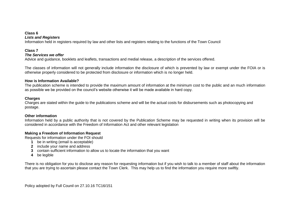#### **Class 6** *Lists and Registers*

## Information held in registers required by law and other lists and registers relating to the functions of the Town Council

## **Class 7**

## *The Services we offer*

Advice and guidance, booklets and leaflets, transactions and medial release, a description of the services offered.

The classes of information will not generally include information the disclosure of which is prevented by law or exempt under the FOIA or is otherwise properly considered to be protected from disclosure or information which is no longer held.

## **How is Information Available?**

The publication scheme is intended to provide the maximum amount of information at the minimum cost to the public and an much information as possible we be provided on the council's website otherwise it will be made available in hard copy.

## **Charges**

Charges are stated within the guide to the publications scheme and will be the actual costs for disbursements such as photocopying and postage.

## **Other information**

Information held by a public authority that is not covered by the Publication Scheme may be requested in writing when its provision will be considered in accordance with the Freedom of Information Act and other relevant legislation

## **Making a Freedom of Information Request**

Requests for information under the FOI should

- **1** be in writing (email is acceptable)
- **2** include your name and address
- **3** contain sufficient information to allow us to locate the information that you want
- **4** be legible

There is no obligation for you to disclose any reason for requesting information but if you wish to talk to a member of staff about the information that you are trying to ascertain please contact the Town Clerk. This may help us to find the information you require more swiftly.

Policy adopted by Full Counil on 27.10.16 TC16/151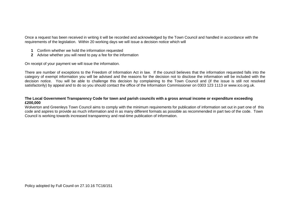Once a request has been received in writing it will be recorded and acknowledged by the Town Council and handled in accordance with the requirements of the legislation. Within 20 working days we will issue a decision notice which will

- **1** Confirm whether we hold the information requested
- **2** Advise whether you will need to pay a fee for the information

On receipt of your payment we will issue the information.

There are number of exceptions to the Freedom of Information Act in law. If the council believes that the information requested falls into the category of exempt information you will be advised and the reasons for the decision not to disclose the information will be included with the decision notice. You will be able to challenge this decision by complaining to the Town Council and (if the issue is still not resolved satisfactorily) by appeal and to do so you should contact the office of the Information Commissioner on 0303 123 1113 or www.ico.org.uk.

## **The Local Government Transparency Code for town and parish councils with a gross annual income or expenditure exceeding £200,000**

Wolverton and Greenleys Town Council aims to comply with the minimum requirements for publication of information set out in part one of this code and aspires to provide as much information and in as many different formats as possible as recommended in part two of the code. Town Council is working towards increased transparency and real-time publication of information.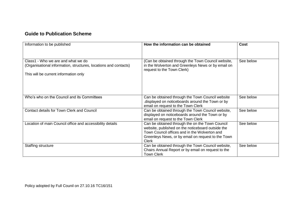# **Guide to Publication Scheme**

| Information to be published                                                                                                                     | How the information can be obtained                                                                                                                                                                                         | <b>Cost</b> |
|-------------------------------------------------------------------------------------------------------------------------------------------------|-----------------------------------------------------------------------------------------------------------------------------------------------------------------------------------------------------------------------------|-------------|
| Class1 - Who we are and what we do<br>(Organisational information, structures, locations and contacts)<br>This will be current information only | (Can be obtained through the Town Council website,<br>in the Wolverton and Greenleys News or by email on<br>request to the Town Clerk)                                                                                      | See below   |
| Who's who on the Council and its Committees                                                                                                     | Can be obtained through the Town Council website<br>displayed on noticeboards around the Town or by<br>email on request to the Town Clerk                                                                                   | See below   |
| Contact details for Town Clerk and Council                                                                                                      | Can be obtained through the Town Council website,<br>displayed on noticeboards around the Town or by<br>email on request to the Town Clerk                                                                                  | See below   |
| Location of main Council office and accessibility details                                                                                       | Can be obtained through the on the Town Council<br>website, published on the noticeboard outside the<br>Town Council offices and in the Wolverton and<br>Greenleys News, or by email on request to the Town<br><b>Clerk</b> | See below   |
| Staffing structure                                                                                                                              | Can be obtained through the Town Council website,<br>Chairs Annual Report or by email on request to the<br><b>Town Clerk</b>                                                                                                | See below   |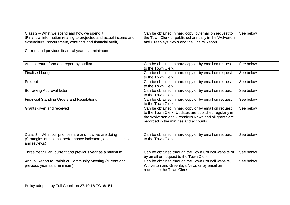| Class 2 – What we spend and how we spend it<br>(Financial information relating to projected and actual income and<br>expenditure, procurement, contracts and financial audit)<br>Current and previous financial year as a minimum | Can be obtained in hard copy, by email on request to<br>the Town Clerk or published annually in the Wolverton<br>and Greenleys News and the Chairs Report                                                    | See below |
|-----------------------------------------------------------------------------------------------------------------------------------------------------------------------------------------------------------------------------------|--------------------------------------------------------------------------------------------------------------------------------------------------------------------------------------------------------------|-----------|
| Annual return form and report by auditor                                                                                                                                                                                          | Can be obtained in hard copy or by email on request<br>to the Town Clerk                                                                                                                                     | See below |
| <b>Finalised budget</b>                                                                                                                                                                                                           | Can be obtained in hard copy or by email on request<br>to the Town Clerk                                                                                                                                     | See below |
| Precept                                                                                                                                                                                                                           | Can be obtained in hard copy or by email on request<br>to the Town Clerk                                                                                                                                     | See below |
| <b>Borrowing Approval letter</b>                                                                                                                                                                                                  | Can be obtained in hard copy or by email on request<br>to the Town Clerk                                                                                                                                     | See below |
| <b>Financial Standing Orders and Regulations</b>                                                                                                                                                                                  | Can be obtained in hard copy or by email on request<br>to the Town Clerk                                                                                                                                     | See below |
| Grants given and received                                                                                                                                                                                                         | Can be obtained in hard copy or by email on request<br>to the Town Clerk. Updates are published regularly in<br>the Wolverton and Greenleys News and all grants are<br>recorded in the minutes and accounts. | See below |
| Class 3 - What our priorities are and how we are doing<br>(Strategies and plans, performance indicators, audits, inspections<br>and reviews)                                                                                      | Can be obtained in hard copy or by email on request<br>to the Town Clerk                                                                                                                                     | See below |
| Three Year Plan (current and previous year as a minimum)                                                                                                                                                                          | Can be obtained through the Town Council website or<br>by email on request to the Town Clerk                                                                                                                 | See below |
| Annual Report to Parish or Community Meeting (current and<br>previous year as a minimum)                                                                                                                                          | Can be obtained through the Town Council website,<br>Wolverton and Greenleys News or by email on<br>request to the Town Clerk                                                                                | See below |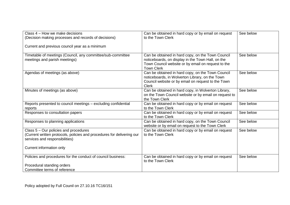| Class 4 – How we make decisions<br>(Decision making processes and records of decisions)                                                                                       | Can be obtained in hard copy or by email on request<br>to the Town Clerk                                                                                                          | See below |
|-------------------------------------------------------------------------------------------------------------------------------------------------------------------------------|-----------------------------------------------------------------------------------------------------------------------------------------------------------------------------------|-----------|
| Current and previous council year as a minimum                                                                                                                                |                                                                                                                                                                                   |           |
| Timetable of meetings (Council, any committee/sub-committee<br>meetings and parish meetings)                                                                                  | Can be obtained in hard copy, on the Town Council<br>noticeboards, on display in the Town Hall, on the<br>Town Council website or by email on request to the<br><b>Town Clerk</b> | See below |
| Agendas of meetings (as above)                                                                                                                                                | Can be obtained in hard copy, on the Town Council<br>noticeboards, in Wolverton Library, on the Town<br>Council website or by email on request to the Town<br><b>Clerk</b>        | See below |
| Minutes of meetings (as above)                                                                                                                                                | Can be obtained in hard copy, in Wolverton Library,<br>on the Town Council website or by email on request to<br>the Town Clerk                                                    | See below |
| Reports presented to council meetings - excluding confidential<br>reports                                                                                                     | Can be obtained in hard copy or by email on request<br>to the Town Clerk                                                                                                          | See below |
| Responses to consultation papers                                                                                                                                              | Can be obtained in hard copy or by email on request<br>to the Town Clerk                                                                                                          | See below |
| Responses to planning applications                                                                                                                                            | Can be obtained in hard copy, on the Town Council<br>website or by email on request to the Town Clerk                                                                             | See below |
| Class 5 – Our policies and procedures<br>(Current written protocols, policies and procedures for delivering our<br>services and responsibilities)<br>Current information only | Can be obtained in hard copy or by email on request<br>to the Town Clerk                                                                                                          | See below |
| Policies and procedures for the conduct of council business:<br>Procedural standing orders<br>Committee terms of reference                                                    | Can be obtained in hard copy or by email on request<br>to the Town Clerk                                                                                                          | See below |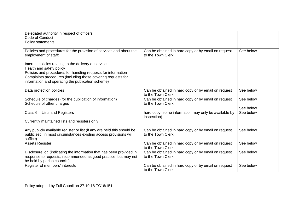| Delegated authority in respect of officers<br>Code of Conduct                                                                                                                                                                                                            |                                                                          |           |
|--------------------------------------------------------------------------------------------------------------------------------------------------------------------------------------------------------------------------------------------------------------------------|--------------------------------------------------------------------------|-----------|
| Policy statements                                                                                                                                                                                                                                                        |                                                                          |           |
| Policies and procedures for the provision of services and about the<br>employment of staff:                                                                                                                                                                              | Can be obtained in hard copy or by email on request<br>to the Town Clerk | See below |
| Internal policies relating to the delivery of services<br>Health and safety policy<br>Policies and procedures for handling requests for information<br>Complaints procedures (including those covering requests for<br>information and operating the publication scheme) |                                                                          |           |
| Data protection policies                                                                                                                                                                                                                                                 | Can be obtained in hard copy or by email on request<br>to the Town Clerk | See below |
| Schedule of charges (for the publication of information)<br>Schedule of other charges                                                                                                                                                                                    | Can be obtained in hard copy or by email on request<br>to the Town Clerk | See below |
|                                                                                                                                                                                                                                                                          |                                                                          | See below |
| Class $6$ – Lists and Registers<br>Currently maintained lists and registers only                                                                                                                                                                                         | hard copy; some information may only be available by<br>inspection)      | See below |
| Any publicly available register or list (if any are held this should be<br>publicised; in most circumstances existing access provisions will<br>suffice)                                                                                                                 | Can be obtained in hard copy or by email on request<br>to the Town Clerk | See below |
| <b>Assets Register</b>                                                                                                                                                                                                                                                   | Can be obtained in hard copy or by email on request<br>to the Town Clerk | See below |
| Disclosure log (indicating the information that has been provided in<br>response to requests; recommended as good practice, but may not<br>be held by parish councils)                                                                                                   | Can be obtained in hard copy or by email on request<br>to the Town Clerk | See below |
| Register of members' interests                                                                                                                                                                                                                                           | Can be obtained in hard copy or by email on request<br>to the Town Clerk | See below |